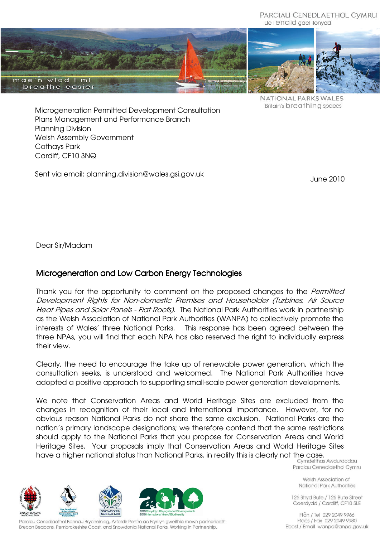



NATIONAL PARKS WALES Britain's breathing spaces

Microgeneration Permitted Development Consultation Plans Management and Performance Branch Planning Division Welsh Assembly Government Cathays Park Cardiff, CF10 3NQ

Sent via email: planning.division@wales.gsi.gov.uk

June 2010

Dear Sir/Madam

## Microgeneration and Low Carbon Energy Technologies

Thank you for the opportunity to comment on the proposed changes to the *Permitted* Development Rights for Non-domestic Premises and Householder (Turbines, Air Source Heat Pipes and Solar Panels - Flat Roofs). The National Park Authorities work in partnership as the Welsh Association of National Park Authorities (WANPA) to collectively promote the interests of Wales' three National Parks. This response has been agreed between the three NPAs, you will find that each NPA has also reserved the right to individually express their view.

Clearly, the need to encourage the take up of renewable power generation, which the consultation seeks, is understood and welcomed. The National Park Authorities have adopted a positive approach to supporting small-scale power generation developments.

We note that Conservation Areas and World Heritage Sites are excluded from the changes in recognition of their local and international importance. However, for no obvious reason National Parks do not share the same exclusion. National Parks are the nation's primary landscape designations; we therefore contend that the same restrictions should apply to the National Parks that you propose for Conservation Areas and World Heritage Sites. Your proposals imply that Conservation Areas and World Heritage Sites have a higher national status than National Parks, in reality this is clearly not the case.<br>Cymdeithas Awdurdodau

Parciau Cenedlaethol Cymru

Welsh Association of National Park Authorities

126 Stryd Bute / 126 Bute Street Caerdydd / Cardiff, CF10 5LE

Ffôn / Tel 029 2049 9966 Ffacs / Fax 029 2049 9980 Ebost / Email wanpa@anpa.gov.uk







Parciau Cenedlaethol Bannau Brycheiniog, Arfordir Penfro ac Eryri yn gweithio mewn partneriaeth Brecon Beacons, Pembrokeshire Coast, and Snowdonia National Parks, Working in Partnership.